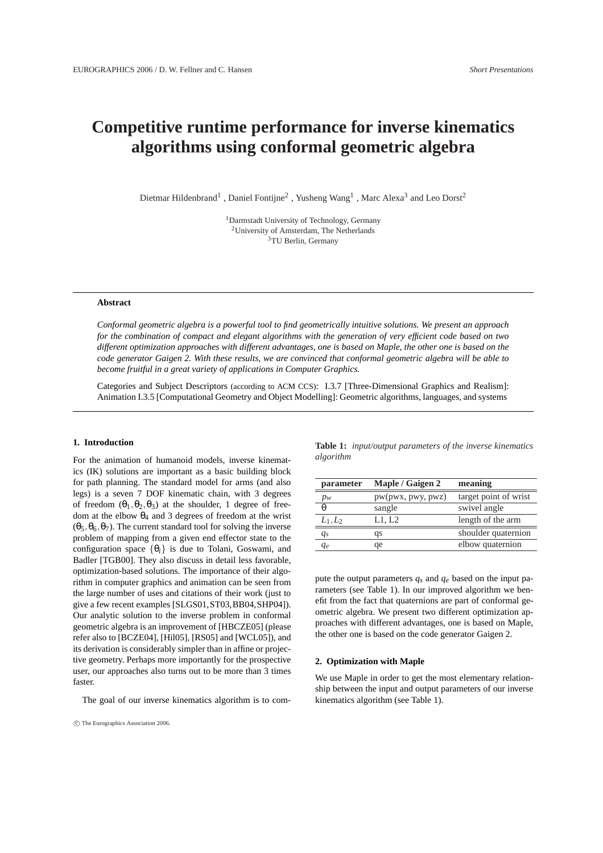# **Competitive runtime performance for inverse kinematics algorithms using conformal geometric algebra**

Dietmar Hildenbrand<sup>1</sup>, Daniel Fontijne<sup>2</sup>, Yusheng Wang<sup>1</sup>, Marc Alexa<sup>3</sup> and Leo Dorst<sup>2</sup>

<sup>1</sup>Darmstadt University of Technology, Germany <sup>2</sup>University of Amsterdam, The Netherlands <sup>3</sup>TU Berlin, Germany

#### **Abstract**

*Conformal geometric algebra is a powerful tool to find geometrically intuitive solutions. We present an approach for the combination of compact and elegant algorithms with the generation of very efficient code based on two different optimization approaches with different advantages, one is based on Maple, the other one is based on the code generator Gaigen 2. With these results, we are convinced that conformal geometric algebra will be able to become fruitful in a great variety of applications in Computer Graphics.*

Categories and Subject Descriptors (according to ACM CCS): I.3.7 [Three-Dimensional Graphics and Realism]: Animation I.3.5 [Computational Geometry and Object Modelling]: Geometric algorithms, languages, and systems

#### **1. Introduction**

For the animation of humanoid models, inverse kinematics (IK) solutions are important as a basic building block for path planning. The standard model for arms (and also legs) is a seven 7 DOF kinematic chain, with 3 degrees of freedom  $(\theta_1, \theta_2, \theta_3)$  at the shoulder, 1 degree of freedom at the elbow  $\theta_4$  and 3 degrees of freedom at the wrist  $(\theta_5, \theta_6, \theta_7)$ . The current standard tool for solving the inverse problem of mapping from a given end effector state to the configuration space  $\{\theta_i\}$  is due to Tolani, Goswami, and Badler [TGB00]. They also discuss in detail less favorable, optimization-based solutions. The importance of their algorithm in computer graphics and animation can be seen from the large number of uses and citations of their work (just to give a few recent examples [SLGS01,ST03,BB04,SHP04]). Our analytic solution to the inverse problem in conformal geometric algebra is an improvement of [HBCZE05] (please refer also to [BCZE04], [Hil05], [RS05] and [WCL05]), and its derivation is considerably simpler than in affine or projective geometry. Perhaps more importantly for the prospective user, our approaches also turns out to be more than 3 times faster.

The goal of our inverse kinematics algorithm is to com-

**Table 1:** *input/output parameters of the inverse kinematics algorithm*

| parameter  | Maple / Gaigen 2  | meaning               |
|------------|-------------------|-----------------------|
| $p_w$      | pw(pwx, pwy, pwz) | target point of wrist |
| $\theta$   | sangle            | swivel angle          |
| $L_1, L_2$ | L1, L2            | length of the arm     |
| $q_{s}$    | qs                | shoulder quaternion   |
| qе         | qe                | elbow quaternion      |

pute the output parameters *qs* and *qe* based on the input parameters (see Table 1). In our improved algorithm we benefit from the fact that quaternions are part of conformal geometric algebra. We present two different optimization approaches with different advantages, one is based on Maple, the other one is based on the code generator Gaigen 2.

#### **2. Optimization with Maple**

We use Maple in order to get the most elementary relationship between the input and output parameters of our inverse kinematics algorithm (see Table 1).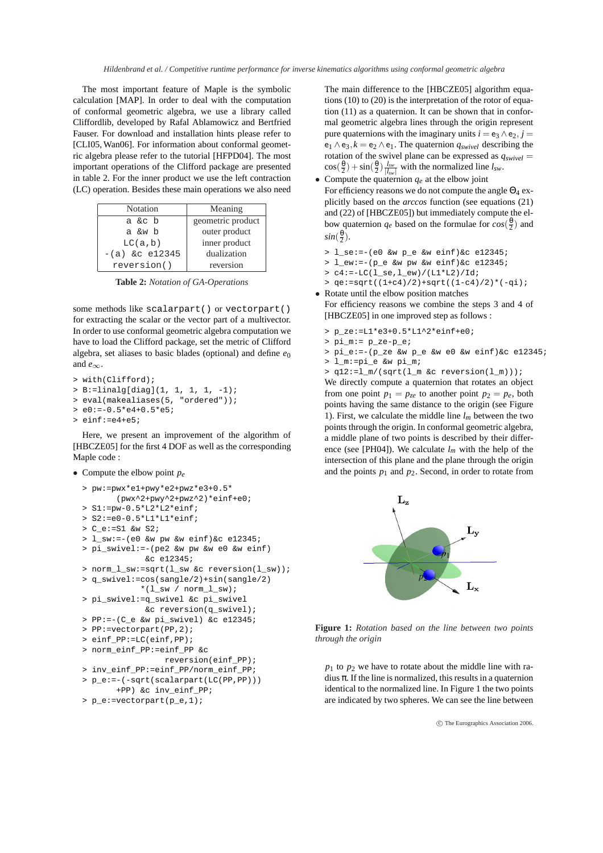The most important feature of Maple is the symbolic calculation [MAP]. In order to deal with the computation of conformal geometric algebra, we use a library called Cliffordlib, developed by Rafal Ablamowicz and Bertfried Fauser. For download and installation hints please refer to [CLI05, Wan06]. For information about conformal geometric algebra please refer to the tutorial [HFPD04]. The most important operations of the Clifford package are presented in table 2. For the inner product we use the left contraction (LC) operation. Besides these main operations we also need

| Notation         | Meaning           |
|------------------|-------------------|
| a &c b           | geometric product |
| a &w b           | outer product     |
| LC(a, b)         | inner product     |
| $-(a)$ &c e12345 | dualization       |
| reversion()      | reversion         |

**Table 2:** *Notation of GA-Operations*

some methods like scalarpart() or vectorpart() for extracting the scalar or the vector part of a multivector. In order to use conformal geometric algebra computation we have to load the Clifford package, set the metric of Clifford algebra, set aliases to basic blades (optional) and define  $e_0$ and *e*∞.

```
> with(Clifford);
> B:=linalg[diag](1, 1, 1, 1, -1);
> eval(makealiases(5, "ordered"));
> e0:=-0.5*e4+0.5*e5;
> einf:=e4+e5;
```
Here, we present an improvement of the algorithm of [HBCZE05] for the first 4 DOF as well as the corresponding Maple code :

• Compute the elbow point *pe*

```
> pw:=pwx*e1+pwy*e2+pwz*e3+0.5*
       (pwx^2+pwy^2+pwz^2)*einf+e0;
> S1:=pw-0.5*L2*L2*einf;
> S2:=e0-0.5*L1*L1*einf;
> C_e:=S1 &w S2;
> l_sw:=-(e0 &w pw &w einf)&c e12345;
> pi_swivel:=-(pe2 &w pw &w e0 &w einf)
             &c e12345;
> norm_l_sw:=sqrt(l_sw &c reversion(l_sw));
> q_swivel:=cos(sangle/2)+sin(sangle/2)
            *(1_sw / norm_1_sw);
> pi_swivel:=q_swivel &c pi_swivel
             &c reversion(q_swivel);
> PP:=-(C_e &w pi_swivel) &c e12345;
> PP:=vectorpart(PP,2);
> einf_PP:=LC(einf,PP);
> norm_einf_PP:=einf_PP &c
                 reversion(einf_PP);
> inv_einf_PP:=einf_PP/norm_einf_PP;
> p_e:=-(-sqrt(scalarpart(LC(PP,PP)))
      +PP) &c inv_einf_PP;
> p_e:=vectorpart(p_e,1);
```
The main difference to the [HBCZE05] algorithm equations (10) to (20) is the interpretation of the rotor of equation (11) as a quaternion. It can be shown that in conformal geometric algebra lines through the origin represent pure quaternions with the imaginary units  $i = e_3 \wedge e_2$ ,  $j =$  $e_1 \wedge e_3$ ,  $k = e_2 \wedge e_1$ . The quaternion  $q_{\text{swivel}}$  describing the rotation of the swivel plane can be expressed as  $q_{\textit{swivel}} =$  $\cos(\frac{\theta}{2}) + \sin(\frac{\theta}{2}) \frac{l_{sw}}{|l_{sw}|}$  with the normalized line  $l_{sw}$ .

- Compute the quaternion  $q_e$  at the elbow joint For efficiency reasons we do not compute the angle  $\Theta_4$  explicitly based on the *arccos* function (see equations (21) and (22) of [HBCZE05]) but immediately compute the elbow quaternion  $q_e$  based on the formulae for  $cos(\frac{\theta}{2})$  and  $sin(\frac{\theta}{2})$ .
	- > l\_se:=-(e0 &w p\_e &w einf)&c e12345;
	- > l\_ew:=-(p\_e &w pw &w einf)&c e12345;
	- $> c4:=-LC(1$  se,  $1$  ew) / ( $L1*L2$ ) / Id;
- > qe:=sqrt((1+c4)/2)+sqrt((1-c4)/2)\*(-qi); • Rotate until the elbow position matches
	- For efficiency reasons we combine the steps 3 and 4 of [HBCZE05] in one improved step as follows :
	- > p\_ze:=L1\*e3+0.5\*L1^2\*einf+e0;
	- > pi\_m:= p\_ze-p\_e;
	- > pi\_e:=-(p\_ze &w p\_e &w e0 &w einf)&c e12345; > l\_m:=pi\_e &w pi\_m;

> q12:=l\_m/(sqrt(l\_m &c reversion(l\_m))); We directly compute a quaternion that rotates an object from one point  $p_1 = p_{ze}$  to another point  $p_2 = p_e$ , both points having the same distance to the origin (see Figure 1). First, we calculate the middle line *lm* between the two points through the origin. In conformal geometric algebra, a middle plane of two points is described by their difference (see [PH04]). We calculate  $l_m$  with the help of the intersection of this plane and the plane through the origin and the points  $p_1$  and  $p_2$ . Second, in order to rotate from



**Figure 1:** *Rotation based on the line between two points through the origin*

 $p_1$  to  $p_2$  we have to rotate about the middle line with radius  $\pi$ . If the line is normalized, this results in a quaternion identical to the normalized line. In Figure 1 the two points are indicated by two spheres. We can see the line between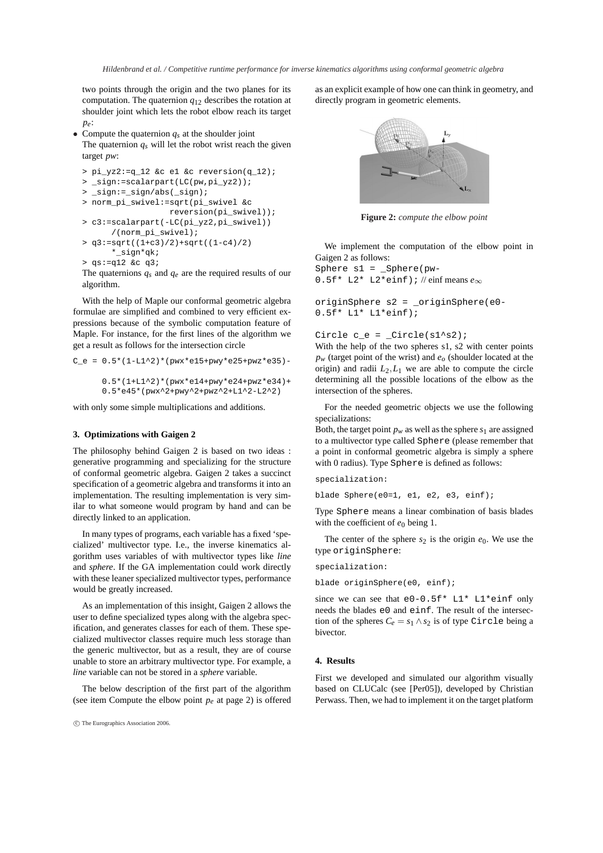two points through the origin and the two planes for its computation. The quaternion *q*<sup>12</sup> describes the rotation at shoulder joint which lets the robot elbow reach its target *pe*:

• Compute the quaternion  $q_s$  at the shoulder joint The quaternion  $q_s$  will let the robot wrist reach the given target *pw*:

```
> pi_yz2:=q_12 &c e1 &c reversion(q_12);
> _sign:=scalarpart(LC(pw,pi_yz2));
> _sign:=_sign/abs(_sign);
> norm_pi_swivel:=sqrt(pi_swivel &c
                  reversion(pi_swivel));
> c3:=scalarpart(-LC(pi_yz2,pi_swivel))
      /(norm_pi_swivel);
> q3:=sqrt((1+c3)/2)+sqrt((1-c4)/2)
```
- \*\_sign\*qk;
- > qs:=q12 &c q3;

The quaternions *qs* and *qe* are the required results of our algorithm.

With the help of Maple our conformal geometric algebra formulae are simplified and combined to very efficient expressions because of the symbolic computation feature of Maple. For instance, for the first lines of the algorithm we get a result as follows for the intersection circle

```
C_e = 0.5*(1-L1^2)*(pwx*el5+pwy*e25+pwz*e35)-
      0.5*(1+L1^2)*(pwx*el4+pwy*e24+pwz*e34)+0.5*e45*(pwx^2+pwy^2+pwz^2+L1^2-L2^2)
```
with only some simple multiplications and additions.

#### **3. Optimizations with Gaigen 2**

The philosophy behind Gaigen 2 is based on two ideas : generative programming and specializing for the structure of conformal geometric algebra. Gaigen 2 takes a succinct specification of a geometric algebra and transforms it into an implementation. The resulting implementation is very similar to what someone would program by hand and can be directly linked to an application.

In many types of programs, each variable has a fixed 'specialized' multivector type. I.e., the inverse kinematics algorithm uses variables of with multivector types like *line* and *sphere*. If the GA implementation could work directly with these leaner specialized multivector types, performance would be greatly increased.

As an implementation of this insight, Gaigen 2 allows the user to define specialized types along with the algebra specification, and generates classes for each of them. These specialized multivector classes require much less storage than the generic multivector, but as a result, they are of course unable to store an arbitrary multivector type. For example, a *line* variable can not be stored in a *sphere* variable.

The below description of the first part of the algorithm (see item Compute the elbow point  $p_e$  at page 2) is offered as an explicit example of how one can think in geometry, and directly program in geometric elements.



**Figure 2:** *compute the elbow point*

We implement the computation of the elbow point in Gaigen 2 as follows:

Sphere s1 = \_Sphere(pw-0.5f\* L2\* L2\*einf); // einf means *e*∞

originSphere s2 = \_originSphere(e0- 0.5f\* L1\* L1\*einf);

#### Circle  $c_e =$  \_Circle( $s1^s2$ );

With the help of the two spheres s1, s2 with center points *pw* (target point of the wrist) and *eo* (shoulder located at the origin) and radii  $L_2, L_1$  we are able to compute the circle determining all the possible locations of the elbow as the intersection of the spheres.

For the needed geometric objects we use the following specializations:

Both, the target point  $p_w$  as well as the sphere  $s_1$  are assigned to a multivector type called Sphere (please remember that a point in conformal geometric algebra is simply a sphere with 0 radius). Type Sphere is defined as follows:

specialization:

blade Sphere(e0=1, e1, e2, e3, einf);

Type Sphere means a linear combination of basis blades with the coefficient of  $e_0$  being 1.

The center of the sphere  $s_2$  is the origin  $e_0$ . We use the type originSphere:

```
specialization:
```
blade originSphere(e0, einf);

since we can see that  $e0-0.5f*$  L1\* L1\*einf only needs the blades e0 and einf. The result of the intersection of the spheres  $C_e = s_1 \wedge s_2$  is of type Circle being a bivector.

## **4. Results**

First we developed and simulated our algorithm visually based on CLUCalc (see [Per05]), developed by Christian Perwass. Then, we had to implement it on the target platform